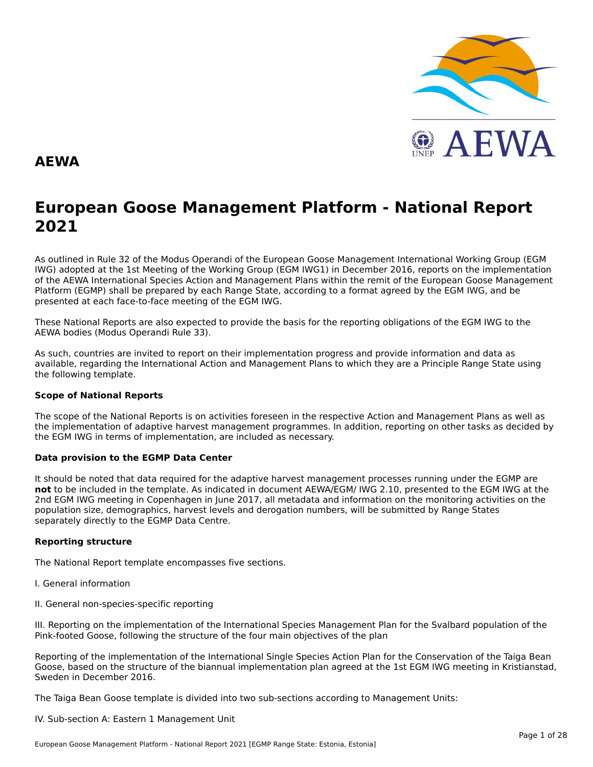

### **AEWA**

# **European Goose Management Platform - National Report**European Goose Management Platform - National Report<br>2021

As outlined in Rule 32 of the Modus Operandi of the European Goose Management International Working Group (EGM As buthled in Rule 32 of the Modus Operandi of the Lufopean Goose Management International Working Group (LGM<br>IWG) adopted at the 1st Meeting of the Working Group (EGM IWG1) in December 2016, reports on the implementation of the AEWA International Species Action and Management Plans within the remit of the European Goose Management<br>of the AEWA International Species Action and Management Plans within the remit of the European Goose Managemen Platform (EGMP) shall be prepared by each Range State, according to a format agreed by the EGM IWG, and be presented at each face-to-face meeting of the EGM IWG.

These National Reports are also expected to provide the basis for the reporting obligations of the EGM IWG to the AEWA bodies (Modus Operandi Rule 33).

As such, countries are invited to report on their implementation progress and provide information and data asAs such, countries are invited to report on their implementation progress and provide imomiation and data as<br>available, regarding the International Action and Management Plans to which they are a Principle Range State usin the following template.

#### **Scope of National Reports**

The scope of the National Reports is on activities foreseen in the respective Action and Management Plans as well as<br>the invalence total of adoptive harvest management are respective and dition are atting on other today as the implementation of adaptive harvest management programmes. In addition, reporting on other tasks as decided by the EGM IWG in terms of implementation, are included as necessary.

#### **Data provision to the EGMP Data Center**

It should be noted that data required for the adaptive harvest management processes running under the EGMP are not to be included in the template. As indicated in document AEWA/EGM/ IWG 2.10, presented to the EGM IWG at the 2nd EGM IWG meeting in Copenhagen in June 2017, all metadata and information on the monitoring activities on the population size, demographics, harvest levels and derogation numbers, will be submitted by Range States separately directly to the EGMP Data Centre.

### **Reporting structure**

The National Report template encompasses five sections.

- I. General information
- II. General non-species-specific reporting

III. Reporting on the implementation of the International Species Management Plan for the Svalbard population of the Pink-footed Goose, following the structure of the four main objectives of the plan

Reporting of the implementation of the International Single Species Action Plan for the Conservation of the Taiga Bean Goose, based on the structure of the biannual implementation plan agreed at the 1st EGM IWG meeting in Kristianstad, Sweden in December 2016.

The Taiga Bean Goose template is divided into two sub-sections according to Management Units:

#### IV. Sub-section A: Eastern 1 Management Unit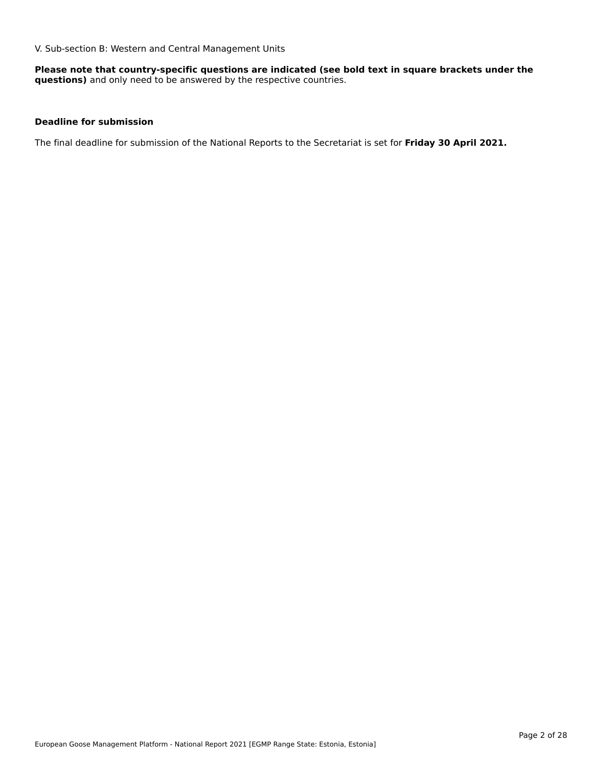V. Sub-section B: Western and Central Management Units

**Please note that country-specific questions are indicated (see bold text in square brackets under the questions)** and only need to be answered by the respective countries.

### **Deadline for submission**

The final deadline for submission of the National Reports to the Secretariat is set for **Friday 30 April 2021.**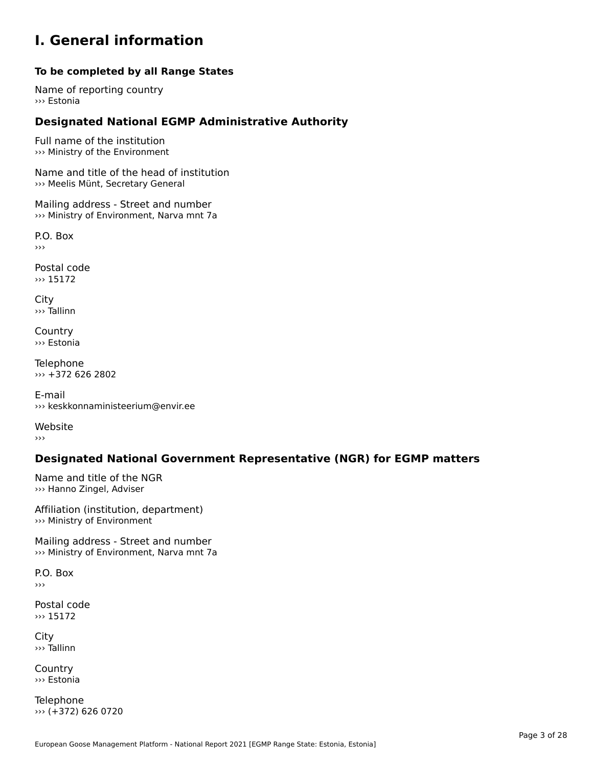### **I. General information**

### **To be completed by all Range States**

Name of reporting country››› Estonia

# **Designated National EGMP Administrative Authority**

Full name of the institution ››› Ministry of the Environment

Name and title of the head of institution ››› Meelis Münt, Secretary General

Mailing address - Street and number ››› Ministry of Environment, Narva mnt 7a

P.O. Box›››

Postal code ››› 15172

City ››› Tallinn

**Country** ››› Estonia

Telephone ››› +372 626 2802

E-mail››› keskkonnaministeerium@envir.ee

Website›››

# **Designated National Government Representative (NGR) for EGMP matters**

Name and title of the NGR ››› Hanno Zingel, Adviser

Affiliation (institution, department) ››› Ministry of Environment

Mailing address - Street and number ››› Ministry of Environment, Narva mnt 7a

P.O. Box›››

Postal code ››› 15172

City ››› Tallinn

**Country** ››› Estonia

Telephone ››› (+372) 626 0720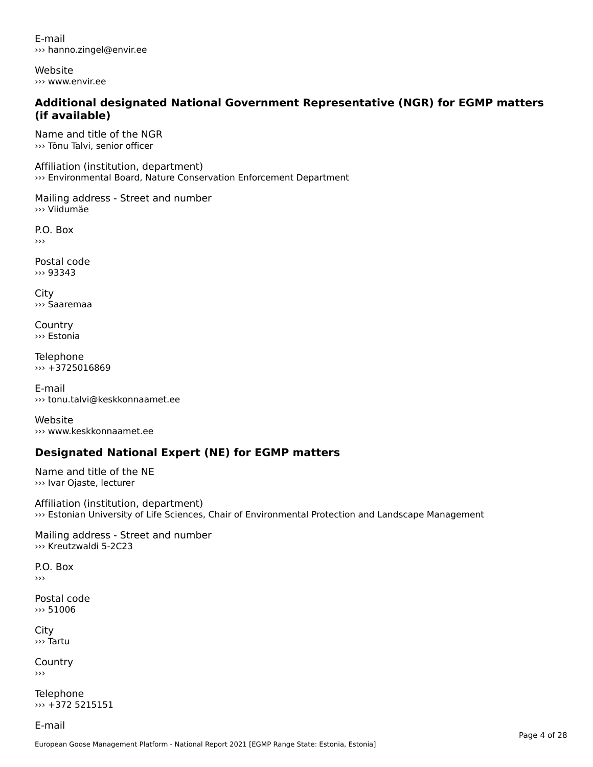E-mail››› hanno.zingel@envir.ee

Website››› www.envir.ee

### **Additional designated National Government Representative (NGR) for EGMP matters (if available)**

Name and title of the NGR››› Tõnu Talvi, senior officer

Affiliation (institution, department) ››› Environmental Board, Nature Conservation Enforcement Department

Mailing address - Street and number ››› Viidumäe

P.O. Box ›››

Postal code››› 93343

City ››› Saaremaa

**Country** ››› Estonia

Telephone ››› +3725016869

E-mail ››› tonu.talvi@keskkonnaamet.ee

Website››› www.keskkonnaamet.ee

# **Designated National Expert (NE) for EGMP matters**

Name and title of the NE ››› Ivar Ojaste, lecturer

Affiliation (institution, department) ››› Estonian University of Life Sciences, Chair of Environmental Protection and Landscape Management

Mailing address - Street and number ››› Kreutzwaldi 5-2C23

P.O. Box›››

Postal code››› 51006

City ››› Tartu

**Country** 

Telephone ››› +372 5215151

E-mail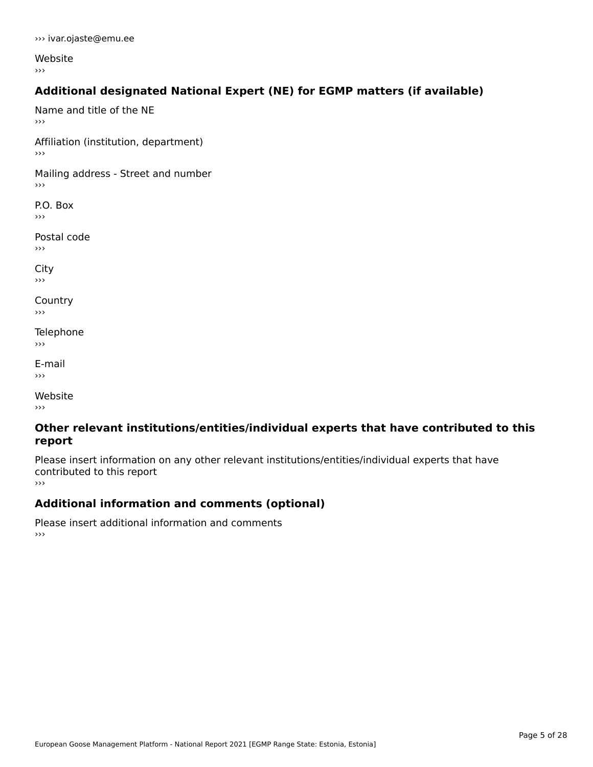Website ›››

### **Additional designated National Expert (NE) for EGMP matters (if available)**

Name and title of the NE›››

Affiliation (institution, department) ›››

Mailing address - Street and number

P.O. Box ›››

Postal code›››

 $\mathbf{C}^{\text{th}}$  $\mathbf{v}$ 

**Country**  $\rightarrow$   $>$ 

Telephone ›››

E-mail›››

Website›››

### **Other relevant institutions/entities/individual experts that have contributed to this report**report

Please insert information on any other relevant institutions/entities/individual experts that have riease insert information<br>contributed to this report ›››

**Additional information and comments (optional)**

Please insert additional information and comments ››› $\rightarrow$   $>$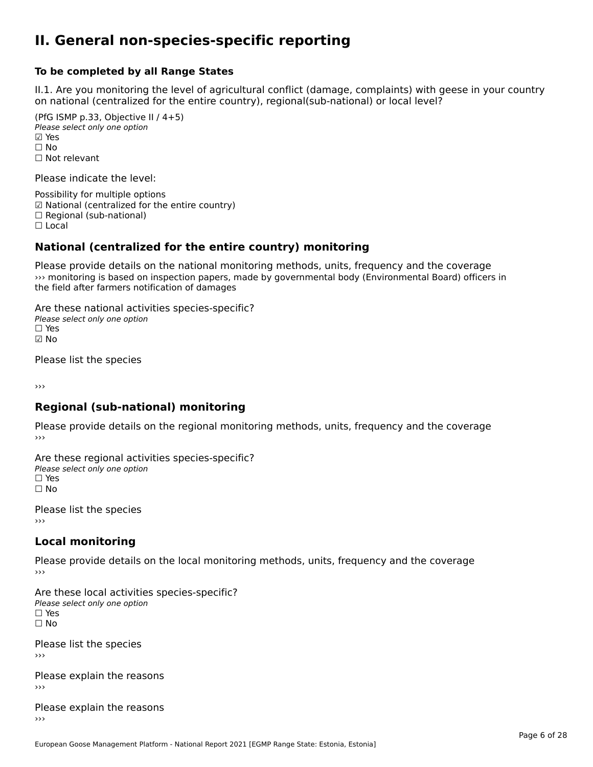### **II. General non-species-specific reporting**

#### **To be completed by all Range States**

II.1. Are you monitoring the level of agricultural conflict (damage, complaints) with geese in your country n.i. Are you monitoring the lever or agricultural connict (damage, complaints) with g<br>on national (centralized for the entire country), regional(sub-national) or local level?

(PfG ISMP p.33, Objective II  $(4+5)$ ) Please select only one option ☑ Yes**☑ Yes**<br>□ No □ No<br>□ Not relevant

Please indicate the level:

Possibility for multiple options гозымнутог mattiple options<br>☑ National (centralized for the entire country)  $\Box$  Regional (sub-national)

☐ Local

#### **National (centralized for the entire country) monitoring**

Please provide details on the national monitoring methods, units, frequency and the coverage ››› monitoring is based on inspection papers, made by governmental body (Environmental Board) officers in *no* montoning is based on inspection papers, i<br>the field after farmers notification of damages

Are these national activities species-specific? ∩ne enese national activity<br>Please select only one option ☑ No

Please list the species

›››

### **Regional (sub-national) monitoring**

Please provide details on the regional monitoring methods, units, frequency and the coverage

Are these regional activities species-specific? Please select only one option ☐ Yes☐ No

Please list the species ›››

#### **Local monitoring**

Please provide details on the local monitoring methods, units, frequency and the coverage

Are these local activities species-specific? ∩ne enese local decrimed.<br>Please select only one option □ Yes<br>□ No

Please list the species ›››

Please explain the reasons

Please explain the reasons ›››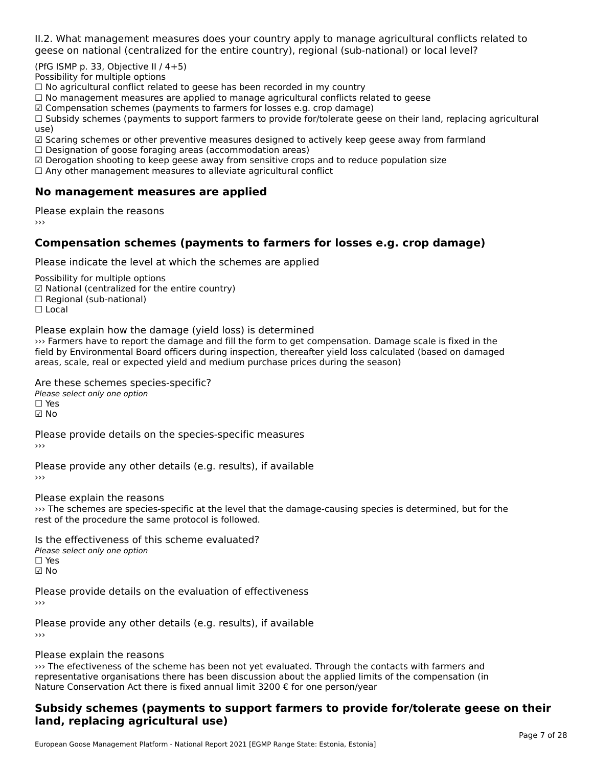II.2. What management measures does your country apply to manage agricultural conflicts related to

(PfG ISMP p. 33, Objective II  $/$  4+5)

Possibility for multiple options

™assionicy for maltiple options<br>□ No agricultural conflict related to geese has been recorded in my country  $\Box$  No agricultural conflict related to geese has been recorded in high conflict  $r$ 

 $\Box$  No management measures are applied to manage agricultural commets relations to  $\Box$ 

 $\mathbb Z$  Compensation schemes (payments to farmers for losses e.g. crop damage)

a compensation schemes (payments to familers for losses e.g. crop damage)<br>[1] Subsidy schemes (payments to support farmers to provide for/tolerate geese on their land, replacing agricultural use)

use)<br>☑ Scaring schemes or other preventive measures designed to actively keep geese away from farmland

 $\Box$  Designation of goose foraging areas (accommodation areas)

□ Designation or goose foraging areas (accommodation areas)<br>□ Derogation shooting to keep geese away from sensitive crops and to reduce population size

 $\Box$  Any other management measures to alleviate agricultural conflict

### **No management measures are applied**

Please explain the reasons ›››

### **Compensation schemes (payments to farmers for losses e.g. crop damage)**

Please indicate the level at which the schemes are applied

Possibility for multiple options rossibility for multiple options<br>☑ National (centralized for the entire country) ⊠ National (centranzed io<br>□ Regional (sub-national) ☐ Local

Please explain how the damage (yield loss) is determined

››› Farmers have to report the damage and fill the form to get compensation. Damage scale is fixed in the with anners have to report the damage and nictue form to get compensation. Damage scale is liked in the field by<br>field by Environmental Board officers during inspection, thereafter yield loss calculated (based on damaged areas, scale, real or expected yield and medium purchase prices during the season)

Are these schemes species-specific?

∩ne these senemes spee<br>Please select only one option

☑ No

Please provide details on the species-specific measures

Please provide any other details (e.g. results), if available

Please explain the reasons

››› The schemes are species-specific at the level that the damage-causing species is determined, but for the we fire schemes are species-specific at the level the<br>rest of the procedure the same protocol is followed.

Is the effectiveness of this scheme evaluated?Please select only one option ☐ Yes☑ No

Please provide details on the evaluation of effectiveness

Please provide any other details (e.g. results), if available

Please explain the reasons

recase explain the reasons<br>
and the efectiveness of the scheme has been not yet evaluated. Through the contacts with farmers and  $\alpha$ representative organisations there has been discussion about the applied limits of the compensation (in representative organisations there has been discussion about the applied in it.<br>Nature Conservation Act there is fixed annual limit 3200 € for one person/year

### **Subsidy schemes (payments to support farmers to provide for/tolerate geese on their land, replacing agricultural use)**land, replacing agricultural use)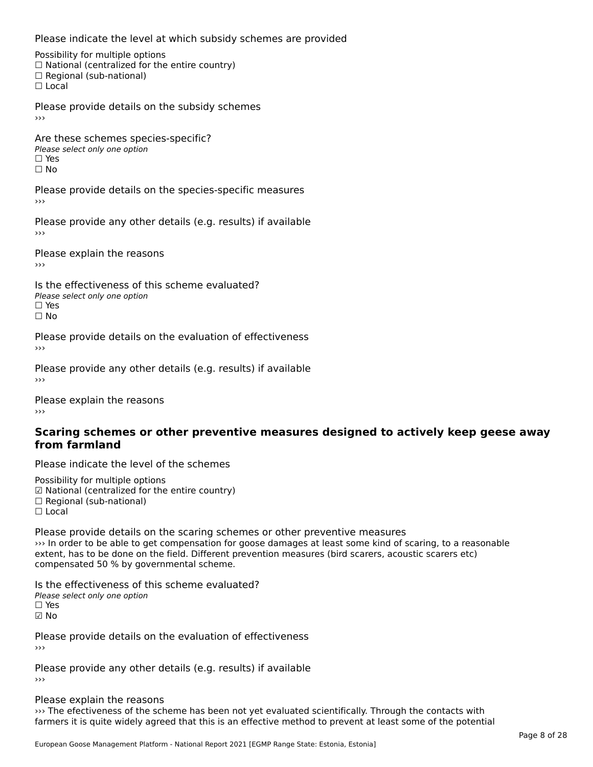Please indicate the level at which subsidy schemes are provided

Possibility for multiple options rossibility for multiple options<br>□ National (centralized for the entire country) □ Regional (sub-national)<br>□ Regional (sub-national)

Please provide details on the subsidy schemes

Are these schemes species-specific?ric criese serientes spec<br>Please select only one option ☐ Yes☐ No

Please provide details on the species-specific measures

Please provide any other details (e.g. results) if available

Please explain the reasons›››

Is the effectiveness of this scheme evaluated?Please select only one option ☐ Yesים<br>⊡ No

Please provide details on the evaluation of effectiveness ›››

Please provide any other details (e.g. results) if available

Please explain the reasons

#### **Scaring schemes or other preventive measures designed to actively keep geese awayfrom farmland**

Please indicate the level of the schemes

Possibility for multiple options гозывниу тог mattiple options<br>☑ National (centralized for the entire country)  $\Box$  Regional (sub-national) ☐ Local

Please provide details on the scaring schemes or other preventive measures ››› In order to be able to get compensation for goose damages at least some kind of scaring, to a reasonable extent, has to be done on the field. Different prevention measures (bird scarers, acoustic scarers etc) extent, has to be done on the neid. Direfent p<br>compensated 50 % by governmental scheme.

Is the effectiveness of this scheme evaluated? □ CIC CILCCLIVENC55 OF C<br>Please select only one option  $\Box$  Yes ☑ No

Please provide details on the evaluation of effectiveness

Please provide any other details (e.g. results) if available

Please explain the reasons

››› The efectiveness of the scheme has been not yet evaluated scientifically. Through the contacts with of the efectiveness of the scheme has been not yet evaluated scientifically. Through the contacts with<br>farmers it is quite widely agreed that this is an effective method to prevent at least some of the potential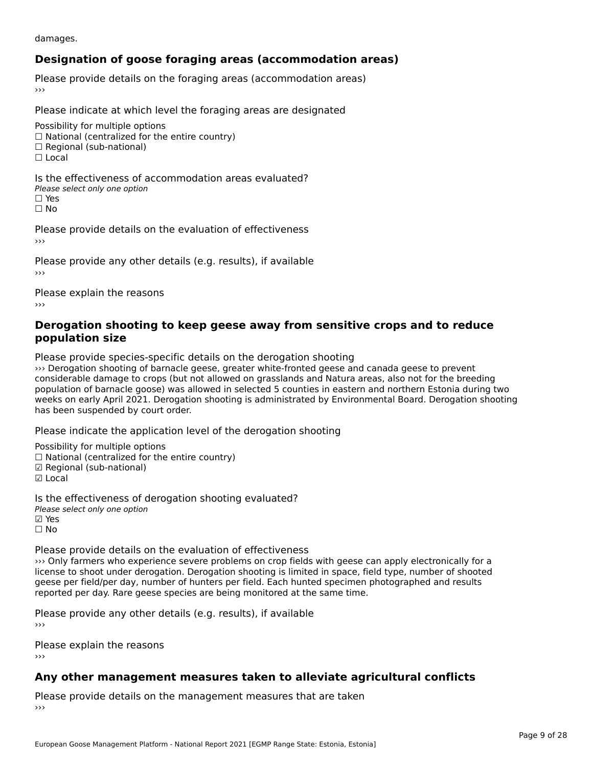damages.

# **Designation of goose foraging areas (accommodation areas)**

Please provide details on the foraging areas (accommodation areas)

Please indicate at which level the foraging areas are designated

Possibility for multiple options rossibility for multiple options<br>□ National (centralized for the entire country) □ National (centralized io<br>□ Regional (sub-national)

 $\Box$  Local

Is the effectiveness of accommodation areas evaluated?□ CITC CITCCITCITESS OF Q<br>Please select only one option □ Yes<br>□ No

Please provide details on the evaluation of effectiveness

Please provide any other details (e.g. results), if available

Please explain the reasons ›››

### **Derogation shooting to keep geese away from sensitive crops and to reduce population size**

Please provide species-specific details on the derogation shooting

››› Derogation shooting of barnacle geese, greater white-fronted geese and canada geese to prevent we belogation shooting or barriacle geese, greater white-fronted geese and canada geese to prevent<br>considerable damage to crops (but not allowed on grasslands and Natura areas, also not for the breeding population of barnacle goose) was allowed in selected 5 counties in eastern and northern Estonia during two<br>population of barnacle goose) was allowed in selected 5 counties in eastern and northern Estonia during two weeks on early April 2021. Derogation shooting is administrated by Environmental Board. Derogation shooting weeks on early Apm 2021. Derogativ<br>has been suspended by court order.

Please indicate the application level of the derogation shooting

Possibility for multiple options rossibility for multiple options<br>□ National (centralized for the entire country) □ National (centralized io<br>☑ Regional (sub-national) ⊠ Regio<br>☑ Local

Is the effectiveness of derogation shooting evaluated? Please select only one option ☑ Yes☐ No

Please provide details on the evaluation of effectiveness

››› Only farmers who experience severe problems on crop fields with geese can apply electronically for a For the shoot under derogation. Derogation shooting is limited in space, field type, number of shooted license to shoot under derogation. Derogation shooting is limited in space, field type, number of shooted geese per hela/per day, number of humers per held. Each humed specifien photographed and results reported per day. Rare geese species are being monitored at the same time.

Please provide any other details (e.g. results), if available

Please explain the reasons

# **Any other management measures taken to alleviate agricultural conflicts**

Please provide details on the management measures that are taken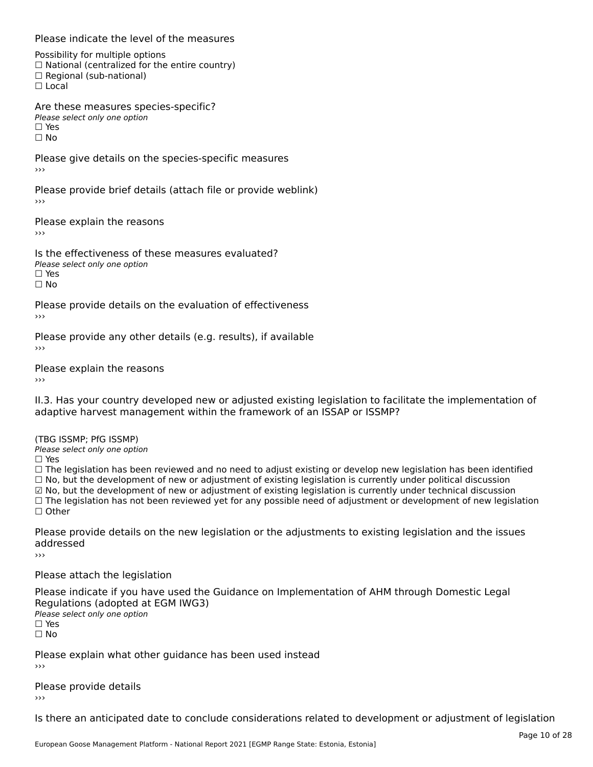#### Please indicate the level of the measures

Possibility for multiple options rossibility for multiple options<br>□ National (centralized for the entire country) □ Regional (sub-national)<br>□ Regional (sub-national)

Are these measures species-specific?**Please select only one option** 

☐ Yesים וכ<br>⊡ No

Please give details on the species-specific measures

Please provide brief details (attach file or provide weblink)

Please explain the reasons›››

Is the effectiveness of these measures evaluated?□ CITC CITCCLIVERESS OF C<br>Please select only one option □ Yes<br>□ No

Please provide details on the evaluation of effectiveness

Please provide any other details (e.g. results), if available ›››

Please explain the reasons

II.3. Has your country developed new or adjusted existing legislation to facilitate the implementation of

(TBG ISSMP; PfG ISSMP)

Please select only one option ☐ Yes

☐ The legislation has been reviewed and no need to adjust existing or develop new legislation has been identified  $\Box$  The regislation has been reviewed and no need to adjust existing or develop hew regislation has been identify and  $\Box$  No, but the development of new or adjustment of existing legislation is currently under political ☑ No, but the development of new or adjustment of existing legislation is currently under technical discussion ⊠ No, but the development of new or adjustment or existing regislation is currently under technical discussion<br>□ The legislation has not been reviewed yet for any possible need of adjustment or development of new legisla ☐ Other

Please provide details on the new legislation or the adjustments to existing legislation and the issues addressed

›››

Please attach the legislation

Please indicate if you have used the Guidance on Implementation of AHM through Domestic Legal Regulations (adopted at EGM IWG3)Please select only one option☐ Yes☐ No

Please explain what other guidance has been used instead

Please provide details

Is there an anticipated date to conclude considerations related to development or adjustment of legislation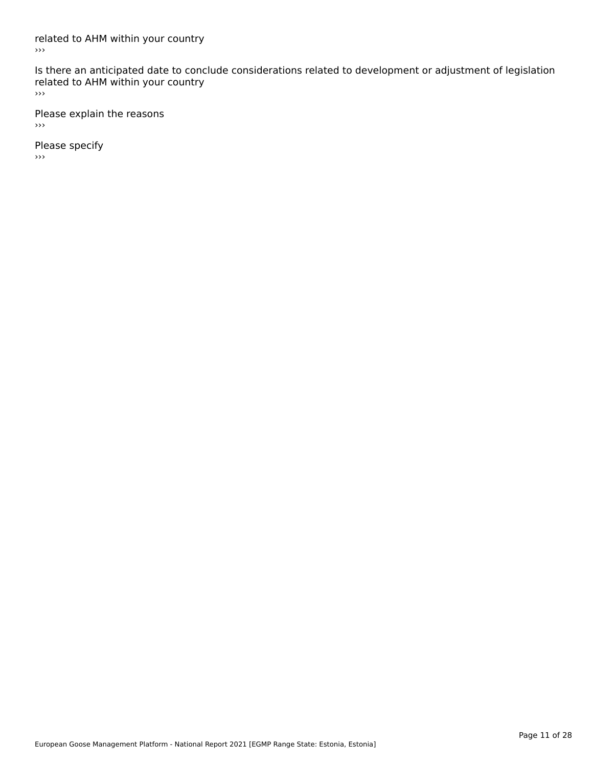related to AHM within your country  $\rightarrow$ 

Is there an anticipated date to conclude considerations related to development or adjustment of legislation Fracture to Army within your country  $\rightarrow$ 

Please explain the reasons  $\rightarrow$   $>$ 

Please specify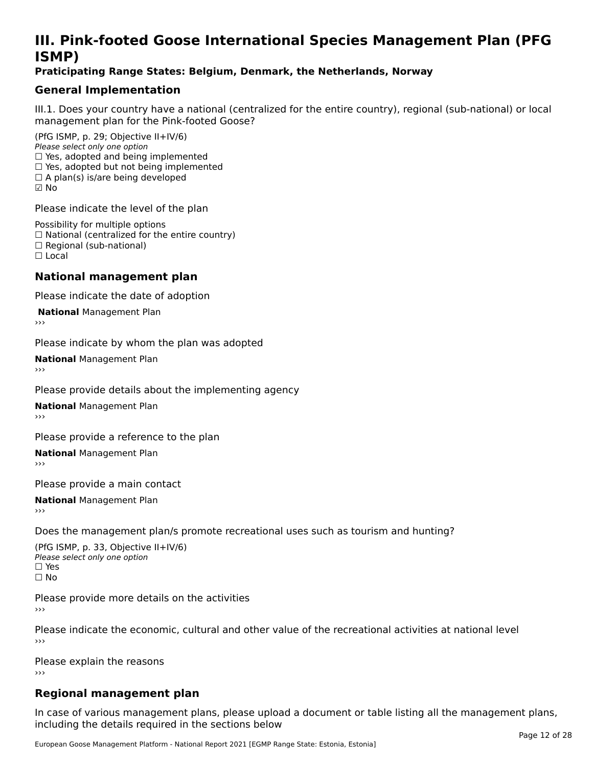# **III. Pink-footed Goose International Species Management Plan (PFG**III. FII<br>ICMAD)

### **Praticipating Range States: Belgium, Denmark, the Netherlands, Norway**

### **General Implementation**

III.1. Does your country have a national (centralized for the entire country), regional (sub-national) or local

(PfG ISMP, p. 29; Objective II+IV/6) Please select only one option *riease select only one option*<br>□ Yes, adopted and being implemented  $\Box$  ies, adopted and being implemented<br> $\Box$  Yes, adopted but not being implemented  $\Box$  A plan(s) is/are being developed ☑ No

Please indicate the level of the plan

Possibility for multiple options rossibility for multiple options<br>□ National (centralized for the entire country) □ National (centralized io<br>□ Regional (sub-national) ☐ Local

#### **National management plan**

Please indicate the date of adoption

**National Management Plan** 

Please indicate by whom the plan was adopted

**National** Management Plan

Please provide details about the implementing agency

**National** Management Plan

Please provide a reference to the plan

**National** Management Plan

Please provide a main contact

**National** Management Plan

Does the management plan/s promote recreational uses such as tourism and hunting?

(PfG ISMP, p. 33, Objective II+IV/6) Please select only one optionPlease select only one option  $\square$  Yes ☐ No

Please provide more details on the activities›››

Please indicate the economic, cultural and other value of the recreational activities at national level

Please explain the reasons ›››

# **Regional management plan**

In case of various management plans, please upload a document or table listing all the management plans, $\frac{1}{2}$  case of various management plans, please uploa including the details required in the sections below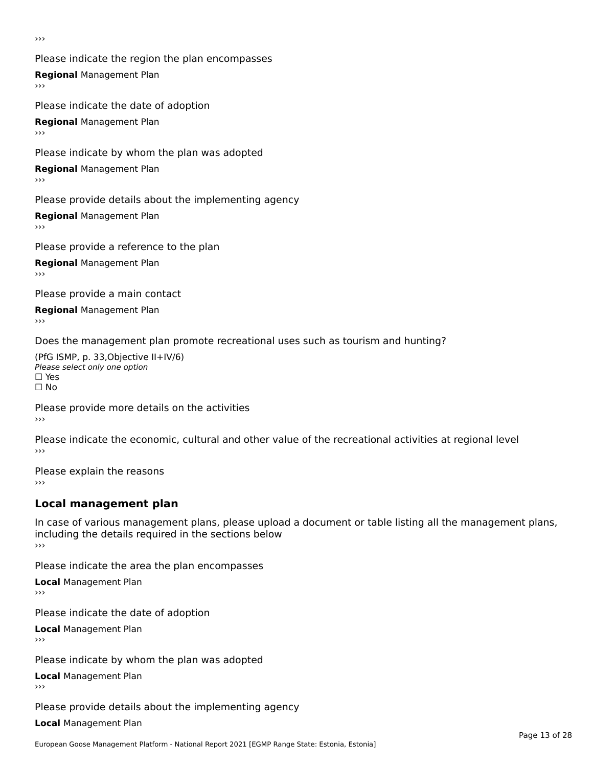›››

Please indicate the region the plan encompasses **Regional** Management Plan Please indicate the date of adoption

**Regional** Management Plan

Please indicate by whom the plan was adopted

**Regional** Management Plan

Please provide details about the implementing agency

**Regional** Management Plan

Please provide a reference to the plan

**Regional** Management Plan

Please provide a main contact

**Regional** Management Plan

Does the management plan promote recreational uses such as tourism and hunting?

(PfG ISMP, p. 33,Objective II+IV/6) ∩∩ וויוכו פון<br>Please select only one option<br>□ Yes □ Yes<br>□ No

Please provide more details on the activities ›››

Please indicate the economic, cultural and other value of the recreational activities at regional level

Please explain the reasons ›››

# **Local management plan**

In case of various management plans, please upload a document or table listing all the management plans, in case or various management plans, please uploa<br>including the details required in the sections below ›››

Please indicate the area the plan encompasses

**Local** Management Plan

Please indicate the date of adoption

**Local** Management Plan›››

Please indicate by whom the plan was adopted

**Local** Management Plan

Please provide details about the implementing agency

**Local** Management Plan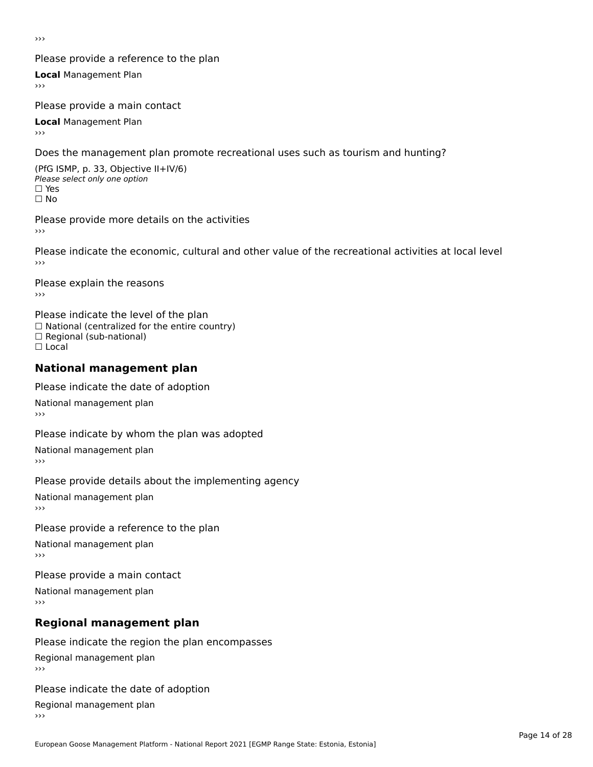›››

### Please provide a reference to the plan

**Local** Management Plan

Please provide a main contact

**Local** Management Plan

Does the management plan promote recreational uses such as tourism and hunting?

(PfG ISMP, p. 33, Objective II+IV/6) Please select only one option☐ Yes☐ No

Please provide more details on the activities

Please indicate the economic, cultural and other value of the recreational activities at local level

Please explain the reasons ›››

Please indicate the level of the plan ∩ease marcate the lever of the plan<br>□ National (centralized for the entire country) □ National (centralized io<br>□ Regional (sub-national) ☐ Local

### **National management plan**

Please indicate the date of adoption

National management plan

Please indicate by whom the plan was adopted

National management plan

Please provide details about the implementing agency

National management plan

#### Please provide a reference to the plan

National management plan

Please provide a main contact

National management plan

# **Regional management plan**

Please indicate the region the plan encompasses Regional management plan

Please indicate the date of adoption

Regional management plan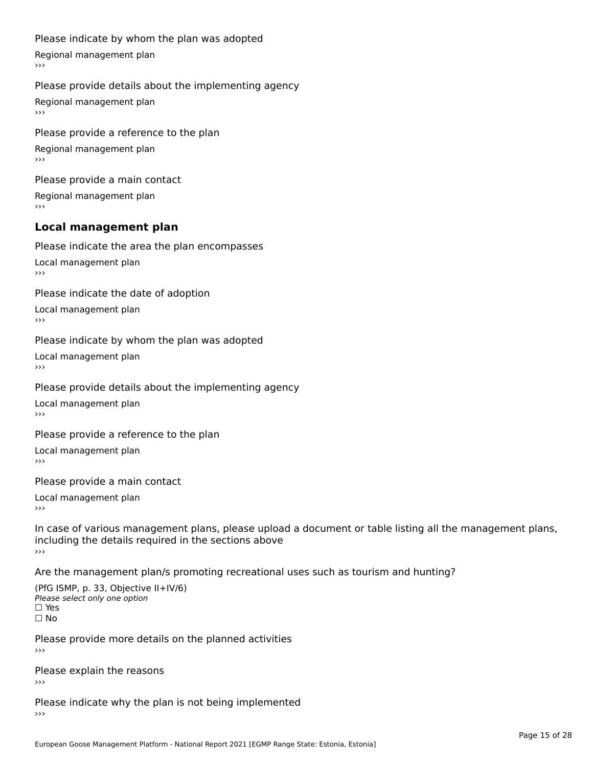#### Please indicate by whom the plan was adopted

Regional management plan

#### Please provide details about the implementing agency

Regional management plan

Please provide a reference to the plan Regional management plan

Please provide a main contact Regional management plan

### **Local management plan**

Please indicate the area the plan encompasses

Local management plan $\overline{\phantom{a}}$  $\rightarrow$   $>$ 

Please indicate the date of adoption

Local management plan $\overline{v}$ 

Please indicate by whom the plan was adopted Local management plan›››

Please provide details about the implementing agency

Local management plan $\overline{v}$ 

Please provide a reference to the plan

Local management plan›››

Please provide a main contact

Local management plan $\overline{v}$ 

In case of various management plans, please upload a document or table listing all the management plans,in case or various management plans, please upload including the details required in the sections above<br>>>>

Are the management plan/s promoting recreational uses such as tourism and hunting?

(PfG ISMP, p. 33, Objective II+IV/6) Please select only one option☐ Yes☐ No

Please provide more details on the planned activities

Please explain the reasons›››

Please indicate why the plan is not being implemented›››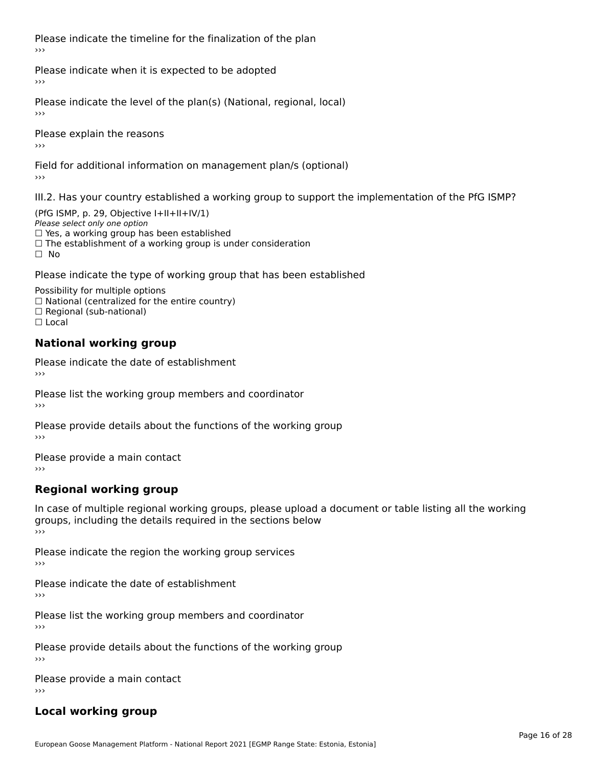Please indicate the timeline for the finalization of the plan›››

Please indicate when it is expected to be adopted

Please indicate the level of the plan(s) (National, regional, local)

Please explain the reasons›››

Field for additional information on management plan/s (optional)

III.2. Has your country established a working group to support the implementation of the PfG ISMP?

(PfG ISMP, p. 29, Objective I+II+II+IV/1)Please select only one option □ Yes, a working group has been established □ Tes, a working group has been established<br>□ The establishment of a working group is under consideration

Please indicate the type of working group that has been established

Possibility for multiple options  $\Box$  National (centralized for the entire country)  $\Box$  Regional (sub-national)  $\Box$  Local

#### **National working group**

Please indicate the date of establishment›››

Please list the working group members and coordinator ›››

Please provide details about the functions of the working group ›››

Please provide a main contact ›››

# **Regional working group**

In case of multiple regional working groups, please upload a document or table listing all the working In case of multiple regional working groups, please upload a<br>groups, including the details required in the sections below ›››

Please indicate the region the working group services ›››

Please indicate the date of establishment ›››

Please list the working group members and coordinator ›››

Please provide details about the functions of the working group ›››

Please provide a main contact ›››

# **Local working group**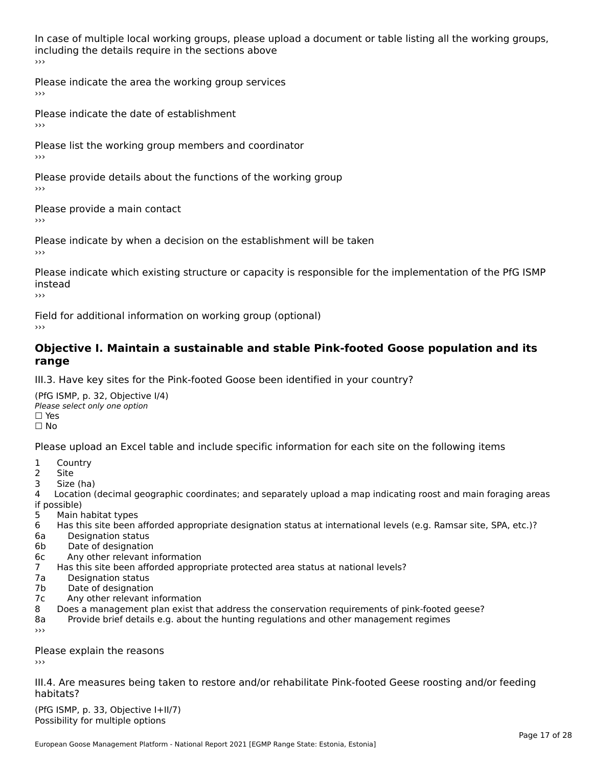In case of multiple local working groups, please upload a document or table listing all the working groups, including the details require in the sections above<br>>>>

Please indicate the area the working group services ›››

Please indicate the date of establishment ›››

Please list the working group members and coordinator ›››

Please provide details about the functions of the working group ›››

Please provide a main contact

›››

Please indicate by when a decision on the establishment will be taken

Please indicate which existing structure or capacity is responsible for the implementation of the PfG ISMP instead

Field for additional information on working group (optional)

### **Objective I. Maintain a sustainable and stable Pink-footed Goose population and its range**range

III.3. Have key sites for the Pink-footed Goose been identified in your country?

(PfG ISMP, p. 32, Objective I/4)Please select only one option ☐ Yes□ Yes<br>□ No

Please upload an Excel table and include specific information for each site on the following items

- $1 \quad \alpha$
- 2 Site
- 2 Site<br>3 Size (ha)

د حدد una<br>4 Location (decimal geographic coordinates; and separately upload a map indicating roost and main foraging areas 4 Location<br>if possible)

- 5 Main habitat types
- 6 Has this site been afforded appropriate designation status at international levels (e.g. Ramsar site, SPA, etc.)? 6. Bestweetter status
- 6a Designation status<br>6b Date of designation
- 
- 6c Any other relevant information
- 7 Has this site been afforded appropriate protected area status at national levels? 7a Designation status
- 7a Designation status<br>7b Date of designation
- 
- 7c Any other relevant information
- 8 Does a management plan exist that address the conservation requirements of pink-footed geese?
- 8a Provide brief details e.g. about the hunting regulations and other management regimes ›››

Please explain the reasons

III.4. Are measures being taken to restore and/or rehabilitate Pink-footed Geese roosting and/or feeding habitats?

 $(PCI GMP, p. 33, Qb)$  is the I+II/7) Possibility for multiple optionsPossibility for multiple options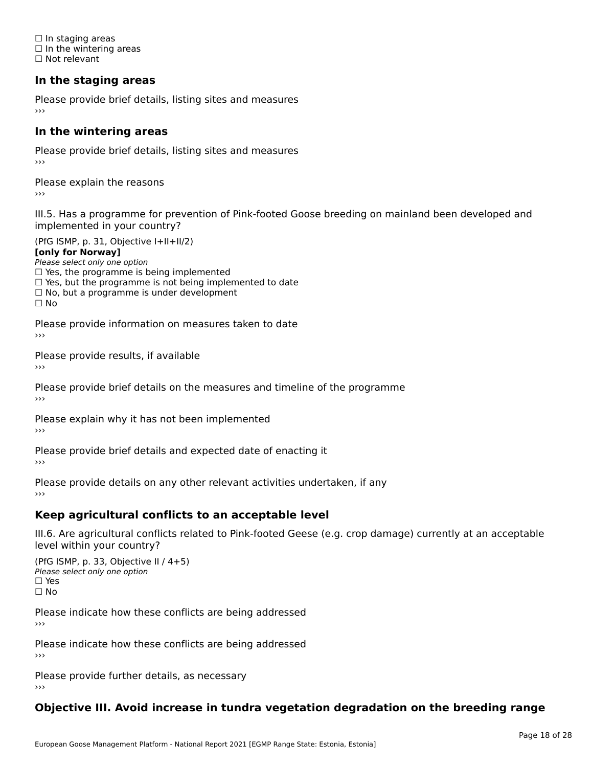☐ In staging areas □ in staging areas<br>□ In the wintering areas ☐ Not relevant

# **In the staging areas**

Please provide brief details, listing sites and measures ›››

#### **In the wintering areas**

Please provide brief details, listing sites and measures ›››

Please explain the reasons

III.5. Has a programme for prevention of Pink-footed Goose breeding on mainland been developed and

(PfG ISMP, p. 31, Objective I+II+II/2)

**[only for Norway]**

Please select only one option riease select only one option<br>□ Yes, the programme is being implemented

 $\Box$  ies, the programme is being implemented to date  $\Box$  Yes, but the programme is not being implemented to date

 $\Box$  No, but a programme is under development

Please provide information on measures taken to date

Please provide results, if available

Please provide brief details on the measures and timeline of the programme›››

Please explain why it has not been implemented

Please provide brief details and expected date of enacting it

Please provide details on any other relevant activities undertaken, if any›››

### **Keep agricultural conflicts to an acceptable level**

III.6. Are agricultural conflicts related to Pink-footed Geese (e.g. crop damage) currently at an acceptable

(PfG ISMP, p. 33, Objective II / 4+5)Please select only one option ☐ Yes☐ No

Please indicate how these conflicts are being addressed

Please indicate how these conflicts are being addressed›››

Please provide further details, as necessary ›››

#### **Objective III. Avoid increase in tundra vegetation degradation on the breeding range**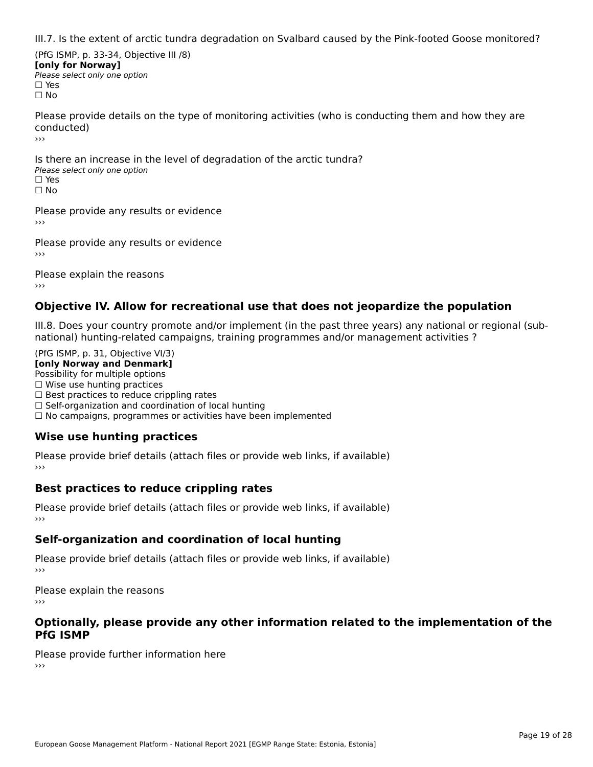III.7. Is the extent of arctic tundra degradation on Svalbard caused by the Pink-footed Goose monitored?

(PfG ISMP, p. 33-34, Objective III /8) **[only for Norway] Please select only one option** □ Yes<br>□ No

Please provide details on the type of monitoring activities (who is conducting them and how they are conducted)›››

Is there an increase in the level of degradation of the arctic tundra? □ CitCre dir increduce in c<br>Please select only one option □ Yes<br>□ No

Please provide any results or evidence

Please provide any results or evidence

Please explain the reasons›››

### **Objective IV. Allow for recreational use that does not jeopardize the population**

III.8. Does your country promote and/or implement (in the past three years) any national or regional (sub $m.0.168$  your country promove and/or miplement (in the past time years) any national or national) hunting-related campaigns, training programmes and/or management activities ?

(PfG ISMP, p. 31, Objective VI/3) **[only Norway and Denmark]** Possibility for multiple options ☐ Wise use hunting practices  $\Box$  wise use numing practices<br> $\Box$  Best practices to reduce crippling rates □ Best practices to reduce crippinig rates<br>□ Self-organization and coordination of local hunting □ Sen-organization and coordination or local nunting<br>□ No campaigns, programmes or activities have been implemented

# **Wise use hunting practices**

Please provide brief details (attach files or provide web links, if available) ›››

### **Best practices to reduce crippling rates**

Please provide brief details (attach files or provide web links, if available)

### **Self-organization and coordination of local hunting**

Please provide brief details (attach files or provide web links, if available)

Please explain the reasons›››

### **Optionally, please provide any other information related to the implementation of the PfG ISMP**

Please provide further information here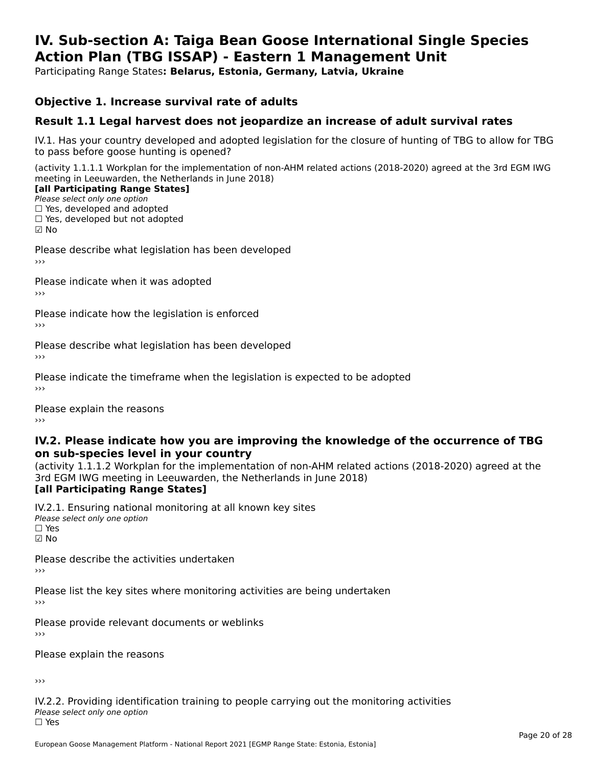#### **IV. Sub-section A: Taiga Bean Goose International Single Species Action Plan (TBG ISSAP) - Eastern 1 Management UnitAction Plan (TBG ISSAP) - Eastern 1 Management Unit**

Participating Range States**: Belarus, Estonia, Germany, Latvia, Ukraine** 

### **Objective 1. Increase survival rate of adults**

### **Result 1.1 Legal harvest does not jeopardize an increase of adult survival rates**

IV.1. Has your country developed and adopted legislation for the closure of hunting of TBG to allow for TBG IV.1. Thas your country developed and add<br>to pass before goose hunting is opened?

(activity 1.1.1.1 Workplan for the implementation of non-AHM related actions (2018-2020) agreed at the 3rd EGM IWG meeting in Leeuwarden, the Netherlands in June 2018)

#### [all Participating Range States]

Please select only one option ☐ Yes, developed and adopted☐ Yes, developed but not adopted

 $\square$  ies, developed but not adopted

Please describe what legislation has been developed

Please indicate when it was adopted

Please indicate how the legislation is enforced

Please describe what legislation has been developed

Please indicate the timeframe when the legislation is expected to be adopted

Please explain the reasons

#### **IV.2. Please indicate how you are improving the knowledge of the occurrence of TBGon sub-species level in your country**on sub-species level in your country

on sub-species fever in your country<br>(activity 1.1.1.2 Workplan for the implementation of non-AHM related actions (2018-2020) agreed at the **Brd EGM IWG meeting in Leeuwarden, the Netherlands in June 2018)** 

#### [all Participating Range States]

IV.2.1. Ensuring national monitoring at all known key sites <del>■ Western Chroning</del> Hational<br>Please select only one option ☑ No

Please describe the activities undertaken

Please list the key sites where monitoring activities are being undertaken

Please provide relevant documents or weblinks

Please explain the reasons

›››

IV.2.2. Providing identification training to people carrying out the monitoring activities Please select only one option<br>□ Yes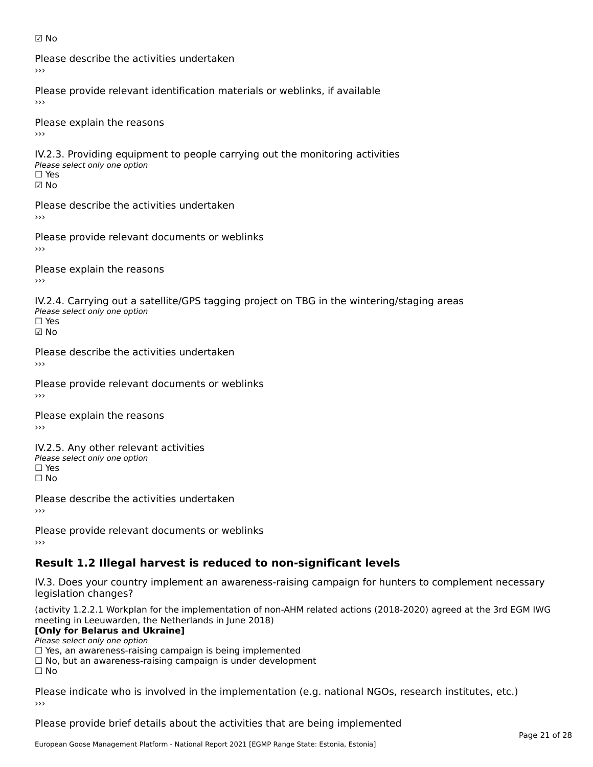☑ No

Please describe the activities undertaken›››

Please provide relevant identification materials or weblinks, if available

Please explain the reasons

IV.2.3. Providing equipment to people carrying out the monitoring activities Please select only one option ☐ Yes☑ No

Please describe the activities undertaken›››

Please provide relevant documents or weblinks

Please explain the reasons ›››

IV.2.4. Carrying out a satellite/GPS tagging project on TBG in the wintering/staging areas <del>∩</del><br>Please select only one option ☑ No

Please describe the activities undertaken›››

Please provide relevant documents or weblinks

Please explain the reasons

IV.2.5. Any other relevant activities Please select only one option ☐ Yes□ Yes<br>□ No

Please describe the activities undertaken›››

Please provide relevant documents or weblinks

# **Result 1.2 Illegal harvest is reduced to non-significant levels**

IV.3. Does your country implement an awareness-raising campaign for hunters to complement necessary rv.5. Does your court<br>legislation changes?

(activity 1.2.2.1 Workplan for the implementation of non-AHM related actions (2018-2020) agreed at the 3rd EGM IWG meeting in Leeuwarden, the Netherlands in June 2018)

### **[Only for Belarus and Ukraine]**

Please select only one option

riease select only one option<br>□ Yes, an awareness-raising campaign is being implemented<br>□ Yes, an awareness-raising campaign is under development

□ No, but an awareness-raising campaign is under development<br>□ N。

 $\Box$  No

Please indicate who is involved in the implementation (e.g. national NGOs, research institutes, etc.)

Please provide brief details about the activities that are being implemented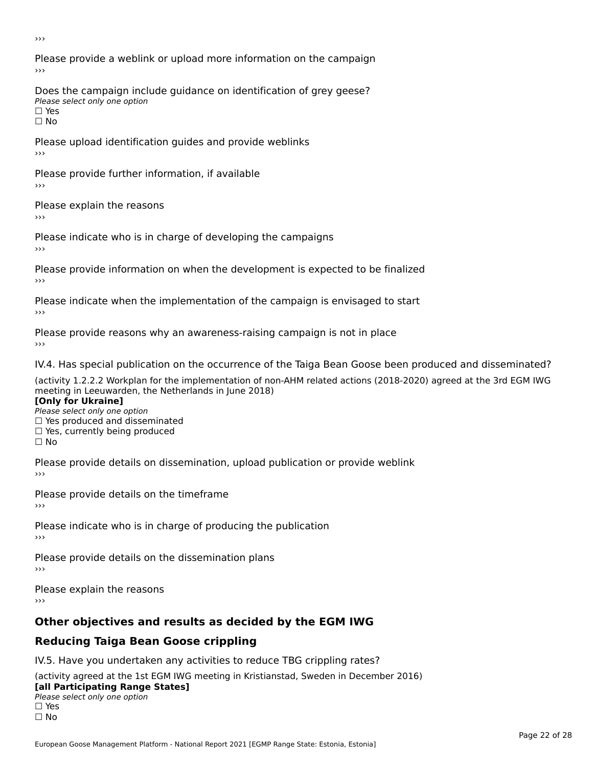›››

Please provide a weblink or upload more information on the campaign›››

Does the campaign include guidance on identification of grey geese? Please select only one option<br>□ Yes □ Yes<br>□ No

Please upload identification guides and provide weblinks ›››

Please provide further information, if available

Please explain the reasons

Please indicate who is in charge of developing the campaigns

Please provide information on when the development is expected to be finalized

Please indicate when the implementation of the campaign is envisaged to start

Please provide reasons why an awareness-raising campaign is not in place

IV.4. Has special publication on the occurrence of the Taiga Bean Goose been produced and disseminated?

(activity 1.2.2.2 Workplan for the implementation of non-AHM related actions (2018-2020) agreed at the 3rd EGM IWG **[Only for Ukraine]**

**□ Yes produced and disseminated**<br>Please select only one option  $\Box$  ies produced and disseminated  $\Box$  ies, currently being produced

Please provide details on dissemination, upload publication or provide weblink

Please provide details on the timeframe

Please indicate who is in charge of producing the publication

Please provide details on the dissemination plans

Please explain the reasons ›››

# **Other objectives and results as decided by the EGM IWG**

# **Reducing Taiga Bean Goose crippling**

IV.5. Have you undertaken any activities to reduce TBG crippling rates?

(activity agreed at the 1st EGM IWG meeting in Kristianstad, Sweden in December 2016) **[all Participating Range States]**

#### [all Participating Range States] **Law Tarticipating Range**<br>Please select only one option

□ Yes<br>□ No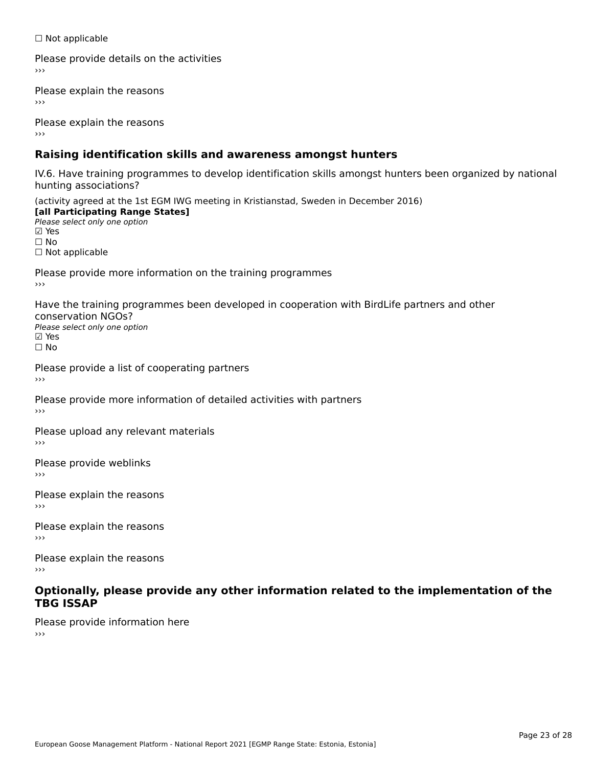☐ Not applicable

Please provide details on the activities

Please explain the reasons

Please explain the reasons

# **Raising identification skills and awareness amongst hunters**

IV.6. Have training programmes to develop identification skills amongst hunters been organized by national rv.o. riave training pro<br>hunting associations?

(activity agreed at the 1st EGM IWG meeting in Kristianstad, Sweden in December 2016) **[all Participating Range States]**[all Participating Range States] **Lan Tarticipating Range**<br>Please select only one option ☑ Yes☐ No□ Not applicable

Please provide more information on the training programmes

Have the training programmes been developed in cooperation with BirdLife partners and other conservation NGOs?Please select only one option☑ Yes☐ No

Please provide a list of cooperating partners

Please provide more information of detailed activities with partners

Please upload any relevant materials

Please provide weblinks

Please explain the reasons

Please explain the reasons›››

Please explain the reasons›››

### **Optionally, please provide any other information related to the implementation of the TBG ISSAP**

Please provide information here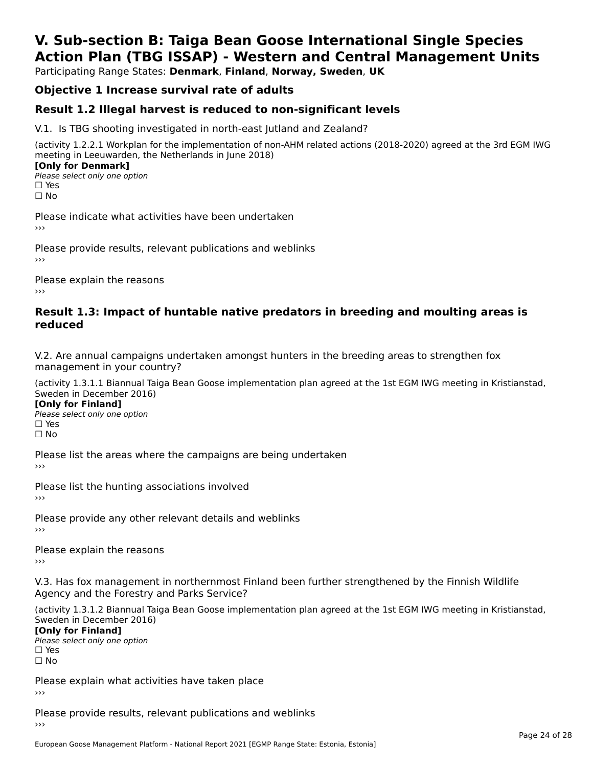# **V. Sub-section B: Taiga Bean Goose International Single SpeciesAction Plan (TBG ISSAP) - Western and Central Management Units**

Participating Range States: **Denmark**, **Finland**, **Norway, Sweden**, **UK**

# **Objective 1 Increase survival rate of adults**

### **Result 1.2 Illegal harvest is reduced to non-significant levels**

V.1. Is TBG shooting investigated in north-east Jutland and Zealand?

(activity 1.2.2.1 Workplan for the implementation of non-AHM related actions (2018-2020) agreed at the 3rd EGM IWG meeting in Leeuwarden, the Netherlands in June 2018) **[Only for Denmark]** 

**□ Please select only one option** □ Yes<br>□ No

Please indicate what activities have been undertaken›››

Please provide results, relevant publications and weblinks ›››

Please explain the reasons›››

### **Result 1.3: Impact of huntable native predators in breeding and moulting areas is reduced**

V.2. Are annual campaigns undertaken amongst hunters in the breeding areas to strengthen fox v.z. Are annual campaigns und<br>management in your country?

(activity 1.3.1.1 Biannual Taiga Bean Goose implementation plan agreed at the 1st EGM IWG meeting in Kristianstad, Sweden in December 2016)

**[Only for Finland]** Please select only one optionriease<br>□ Yes □ Yes<br>□ No

Please list the areas where the campaigns are being undertaken

Please list the hunting associations involved

Please provide any other relevant details and weblinks ›››

Please explain the reasons

V.3. Has fox management in northernmost Finland been further strengthened by the Finnish Wildlife v.5. Has fox management in northernmost F<br>Agency and the Forestry and Parks Service?

(activity 1.3.1.2 Biannual Taiga Bean Goose implementation plan agreed at the 1st EGM IWG meeting in Kristianstad, Sweden in December 2016) Sweden in December 2016)

[Only for Finland]

**Please select only one option** □ Yes<br>□ No

Please explain what activities have taken place

Please provide results, relevant publications and weblinks ›››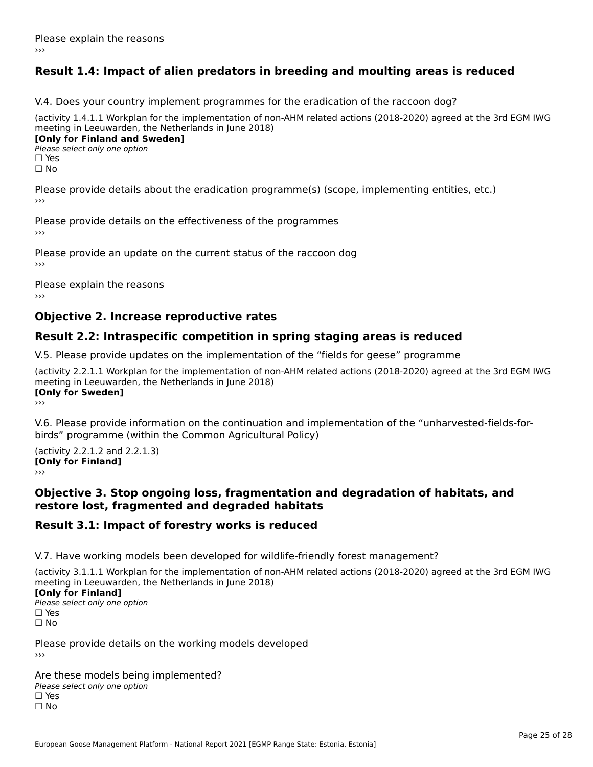# **Result 1.4: Impact of alien predators in breeding and moulting areas is reduced**

V.4. Does your country implement programmes for the eradication of the raccoon dog?

(activity 1.4.1.1 Workplan for the implementation of non-AHM related actions (2018-2020) agreed at the 3rd EGM IWG meeting in Leeuwarden, the Netherlands in June 2018) **[Only for Finland and Sweden]**

**Please select only one option** 

□ Yes<br>□ No

Please provide details about the eradication programme(s) (scope, implementing entities, etc.)

Please provide details on the effectiveness of the programmes

Please provide an update on the current status of the raccoon dog

Please explain the reasons

### **Objective 2. Increase reproductive rates**

### **Result 2.2: Intraspecific competition in spring staging areas is reduced**

V.5. Please provide updates on the implementation of the "fields for geese" programme

(activity 2.2.1.1 Workplan for the implementation of non-AHM related actions (2018-2020) agreed at the 3rd EGM IWG meeting in Leeuwarden, the Netherlands in June 2018) <u>Iony</u> ioi swedenj

V.6. Please provide information on the continuation and implementation of the "unharvested-fields-forbirds" programme (within the Common Agricultural Policy)birds" programme (within the Common Agricultural Policy)

(activity 2.2.1.2 and 2.2.1.3) **CONDUCTS**<br> **[Only for Finland]** 

### **Objective 3. Stop ongoing loss, fragmentation and degradation of habitats, and restore lost, fragmented and degraded habitats**

### **Result 3.1: Impact of forestry works is reduced**

V.7. Have working models been developed for wildlife-friendly forest management?

(activity 3.1.1.1 Workplan for the implementation of non-AHM related actions (2018-2020) agreed at the 3rd EGM IWG

### **[Only for Finland]**

**Please select only one option** □ Yes<br>□ No

Please provide details on the working models developed›››

Are these models being implemented? ∩ne enese moders being<br>Please select only one option □ Yes<br>□ No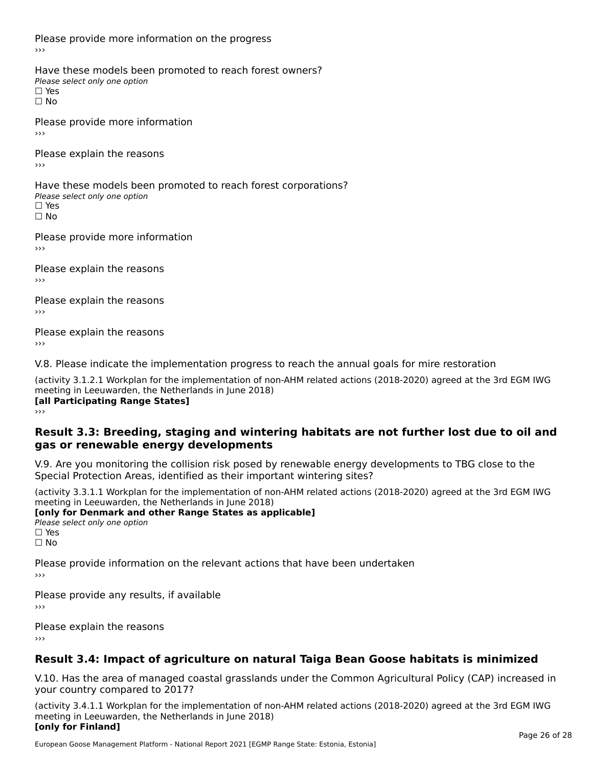Please provide more information on the progress

Have these models been promoted to reach forest owners? ∩ave these models bee<br>Please select only one option □ Yes<br>□ No

Please provide more information›››

Please explain the reasons ›››

Have these models been promoted to reach forest corporations? ∩ave these models bee<br>Please select only one option □ Yes<br>□ No

Please provide more information›››

Please explain the reasons ›››

Please explain the reasons›››

Please explain the reasons›››

V.8. Please indicate the implementation progress to reach the annual goals for mire restoration

(activity 3.1.2.1 Workplan for the implementation of non-AHM related actions (2018-2020) agreed at the 3rd EGM IWG meeting in Leeuwarden, the Netherlands in June 2018) **[all Participating Range States]** ›››

**Result 3.3: Breeding, staging and wintering habitats are not further lost due to oil andgas or renewable energy developments**

# gas or renewable energy developments

V.9. Are you monitoring the collision risk posed by renewable energy developments to TBG close to the Special Protection Areas, identified as their important wintering sites?

(activity 3.3.1.1 Workplan for the implementation of non-AHM related actions (2018-2020) agreed at the 3rd EGM IWG **[only for Denmark and other Range States as applicable]**

**Please select only one option** □ Yes<br>□ No

Please provide information on the relevant actions that have been undertaken ›››

Please provide any results, if available

Please explain the reasons

# **Result 3.4: Impact of agriculture on natural Taiga Bean Goose habitats is minimized**

V.10. Has the area of managed coastal grasslands under the Common Agricultural Policy (CAP) increased in

(activity 3.4.1.1 Workplan for the implementation of non-AHM related actions (2018-2020) agreed at the 3rd EGM IWG meeting in Leeuwarden, the Netherlands in June 2018) **[only for Finland]**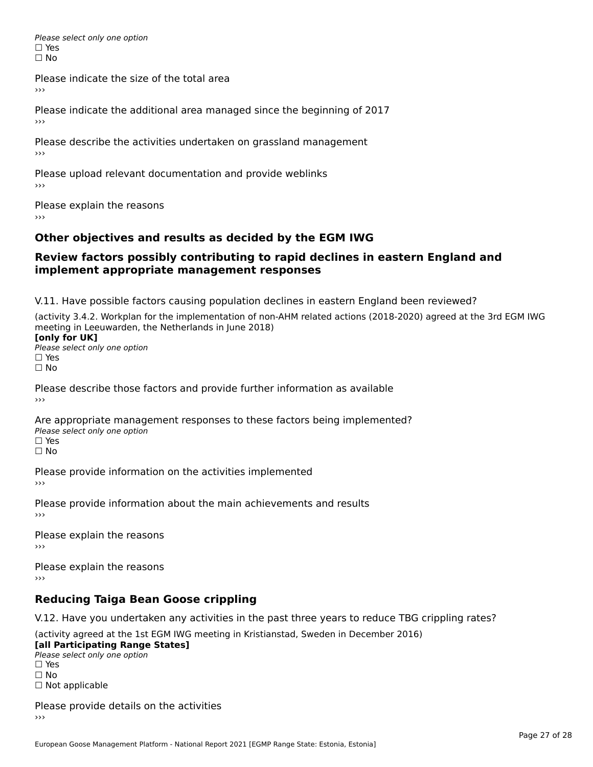Please select only one option □ Yes<br>□ No

Please indicate the size of the total area

›››

Please indicate the additional area managed since the beginning of 2017

Please describe the activities undertaken on grassland management ›››

Please upload relevant documentation and provide weblinks

Please explain the reasons

# **Other objectives and results as decided by the EGM IWG**

#### **Review factors possibly contributing to rapid declines in eastern England andimplement appropriate management responses**implement appropriate management responses

V.11. Have possible factors causing population declines in eastern England been reviewed?

(activity 3.4.2. Workplan for the implementation of non-AHM related actions (2018-2020) agreed at the 3rd EGM IWGmeeting in Leeuwarden, the Netherlands in June 2018) meeting in Leeuwarden, the Netherlands in June 2018)<br>**[only for UK]** 

**∐omy for OR**<br>Please select only one option □ Yes<br>□ No

Please describe those factors and provide further information as available

Are appropriate management responses to these factors being implemented? ric appropriace manage<br>Please select only one option ☐ Yesים<br>⊡ No

Please provide information on the activities implemented ›››

Please provide information about the main achievements and results›››

Please explain the reasons›››

Please explain the reasons ›››

# **Reducing Taiga Bean Goose crippling**

V.12. Have you undertaken any activities in the past three years to reduce TBG crippling rates?

(activity agreed at the 1st EGM IWG meeting in Kristianstad, Sweden in December 2016) **[all Participating Range States]**

[all Participating Range States] Please select only one option☐ Yesים<br>⊡ No □ Not applicable

Please provide details on the activities  $\rightarrow$   $>$